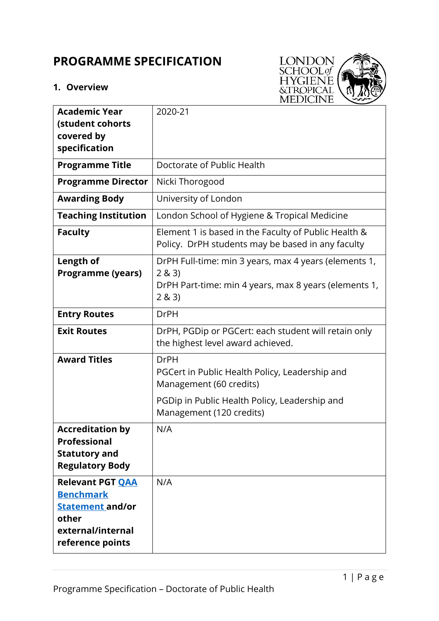# **PROGRAMME SPECIFICATION**

## **1. Overview**



| <b>Academic Year</b>                                                                                                     | 2020-21                                                                                                                                   |  |  |  |  |
|--------------------------------------------------------------------------------------------------------------------------|-------------------------------------------------------------------------------------------------------------------------------------------|--|--|--|--|
| (student cohorts<br>covered by                                                                                           |                                                                                                                                           |  |  |  |  |
| specification                                                                                                            |                                                                                                                                           |  |  |  |  |
| <b>Programme Title</b>                                                                                                   | Doctorate of Public Health                                                                                                                |  |  |  |  |
| <b>Programme Director</b>                                                                                                | Nicki Thorogood                                                                                                                           |  |  |  |  |
| <b>Awarding Body</b>                                                                                                     | University of London                                                                                                                      |  |  |  |  |
| <b>Teaching Institution</b>                                                                                              | London School of Hygiene & Tropical Medicine                                                                                              |  |  |  |  |
| <b>Faculty</b>                                                                                                           | Element 1 is based in the Faculty of Public Health &<br>Policy. DrPH students may be based in any faculty                                 |  |  |  |  |
| Length of<br><b>Programme (years)</b>                                                                                    | DrPH Full-time: min 3 years, max 4 years (elements 1,<br>2 & 3)<br>DrPH Part-time: min 4 years, max 8 years (elements 1,<br>2 & 3)        |  |  |  |  |
| <b>Entry Routes</b>                                                                                                      | <b>DrPH</b>                                                                                                                               |  |  |  |  |
| <b>Exit Routes</b>                                                                                                       | DrPH, PGDip or PGCert: each student will retain only<br>the highest level award achieved.                                                 |  |  |  |  |
| <b>Award Titles</b>                                                                                                      | <b>DrPH</b><br>PGCert in Public Health Policy, Leadership and<br>Management (60 credits)<br>PGDip in Public Health Policy, Leadership and |  |  |  |  |
|                                                                                                                          | Management (120 credits)                                                                                                                  |  |  |  |  |
| <b>Accreditation by</b><br><b>Professional</b><br><b>Statutory and</b><br><b>Regulatory Body</b>                         | N/A                                                                                                                                       |  |  |  |  |
| <b>Relevant PGT OAA</b><br><b>Benchmark</b><br><b>Statement and/or</b><br>other<br>external/internal<br>reference points | N/A                                                                                                                                       |  |  |  |  |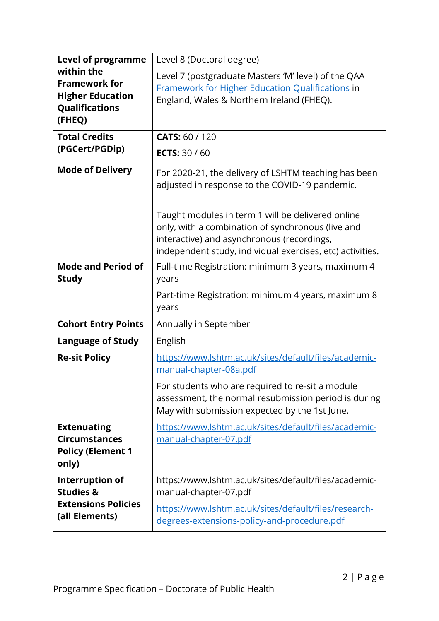| <b>Level of programme</b><br>within the<br><b>Framework for</b><br><b>Higher Education</b><br>Qualifications<br>(FHEQ)<br><b>Total Credits</b> | Level 8 (Doctoral degree)<br>Level 7 (postgraduate Masters 'M' level) of the QAA<br><b>Framework for Higher Education Qualifications in</b><br>England, Wales & Northern Ireland (FHEQ).<br><b>CATS: 60 / 120</b>                                                                                                           |  |  |  |  |
|------------------------------------------------------------------------------------------------------------------------------------------------|-----------------------------------------------------------------------------------------------------------------------------------------------------------------------------------------------------------------------------------------------------------------------------------------------------------------------------|--|--|--|--|
| (PGCert/PGDip)                                                                                                                                 | <b>ECTS: 30 / 60</b>                                                                                                                                                                                                                                                                                                        |  |  |  |  |
| <b>Mode of Delivery</b>                                                                                                                        | For 2020-21, the delivery of LSHTM teaching has been<br>adjusted in response to the COVID-19 pandemic.<br>Taught modules in term 1 will be delivered online<br>only, with a combination of synchronous (live and<br>interactive) and asynchronous (recordings,<br>independent study, individual exercises, etc) activities. |  |  |  |  |
| <b>Mode and Period of</b><br><b>Study</b>                                                                                                      | Full-time Registration: minimum 3 years, maximum 4<br>years<br>Part-time Registration: minimum 4 years, maximum 8<br>years                                                                                                                                                                                                  |  |  |  |  |
| <b>Cohort Entry Points</b>                                                                                                                     | Annually in September                                                                                                                                                                                                                                                                                                       |  |  |  |  |
| <b>Language of Study</b>                                                                                                                       | English                                                                                                                                                                                                                                                                                                                     |  |  |  |  |
| <b>Re-sit Policy</b>                                                                                                                           | https://www.lshtm.ac.uk/sites/default/files/academic-<br>manual-chapter-08a.pdf<br>For students who are required to re-sit a module<br>assessment, the normal resubmission period is during<br>May with submission expected by the 1st June.                                                                                |  |  |  |  |
| <b>Extenuating</b><br><b>Circumstances</b><br><b>Policy (Element 1</b><br>only)                                                                | https://www.lshtm.ac.uk/sites/default/files/academic-<br>manual-chapter-07.pdf                                                                                                                                                                                                                                              |  |  |  |  |
| Interruption of<br><b>Studies &amp;</b><br><b>Extensions Policies</b><br>(all Elements)                                                        | https://www.lshtm.ac.uk/sites/default/files/academic-<br>manual-chapter-07.pdf<br>https://www.lshtm.ac.uk/sites/default/files/research-<br>degrees-extensions-policy-and-procedure.pdf                                                                                                                                      |  |  |  |  |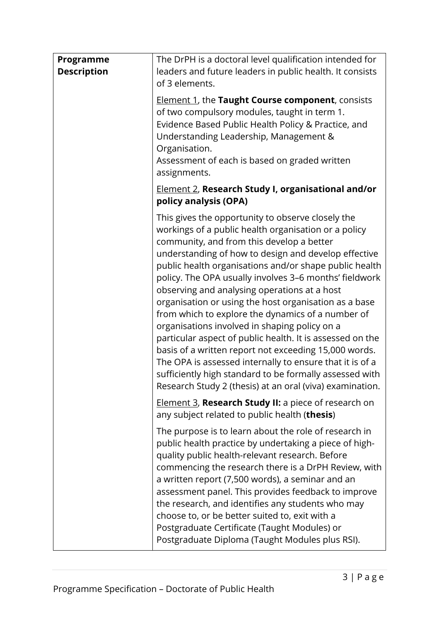| Programme<br><b>Description</b> | The DrPH is a doctoral level qualification intended for<br>leaders and future leaders in public health. It consists<br>of 3 elements.<br><b>Element 1, the Taught Course component</b> , consists<br>of two compulsory modules, taught in term 1.<br>Evidence Based Public Health Policy & Practice, and<br>Understanding Leadership, Management &<br>Organisation.<br>Assessment of each is based on graded written<br>assignments.                                                                                                                                                                                                                                                                                                                                                                                                                       |  |  |
|---------------------------------|------------------------------------------------------------------------------------------------------------------------------------------------------------------------------------------------------------------------------------------------------------------------------------------------------------------------------------------------------------------------------------------------------------------------------------------------------------------------------------------------------------------------------------------------------------------------------------------------------------------------------------------------------------------------------------------------------------------------------------------------------------------------------------------------------------------------------------------------------------|--|--|
|                                 | <b>Element 2, Research Study I, organisational and/or</b><br>policy analysis (OPA)                                                                                                                                                                                                                                                                                                                                                                                                                                                                                                                                                                                                                                                                                                                                                                         |  |  |
|                                 | This gives the opportunity to observe closely the<br>workings of a public health organisation or a policy<br>community, and from this develop a better<br>understanding of how to design and develop effective<br>public health organisations and/or shape public health<br>policy. The OPA usually involves 3-6 months' fieldwork<br>observing and analysing operations at a host<br>organisation or using the host organisation as a base<br>from which to explore the dynamics of a number of<br>organisations involved in shaping policy on a<br>particular aspect of public health. It is assessed on the<br>basis of a written report not exceeding 15,000 words.<br>The OPA is assessed internally to ensure that it is of a<br>sufficiently high standard to be formally assessed with<br>Research Study 2 (thesis) at an oral (viva) examination. |  |  |
|                                 | Element 3, Research Study II: a piece of research on<br>any subject related to public health (thesis)                                                                                                                                                                                                                                                                                                                                                                                                                                                                                                                                                                                                                                                                                                                                                      |  |  |
|                                 | The purpose is to learn about the role of research in<br>public health practice by undertaking a piece of high-<br>quality public health-relevant research. Before<br>commencing the research there is a DrPH Review, with<br>a written report (7,500 words), a seminar and an<br>assessment panel. This provides feedback to improve<br>the research, and identifies any students who may<br>choose to, or be better suited to, exit with a<br>Postgraduate Certificate (Taught Modules) or<br>Postgraduate Diploma (Taught Modules plus RSI).                                                                                                                                                                                                                                                                                                            |  |  |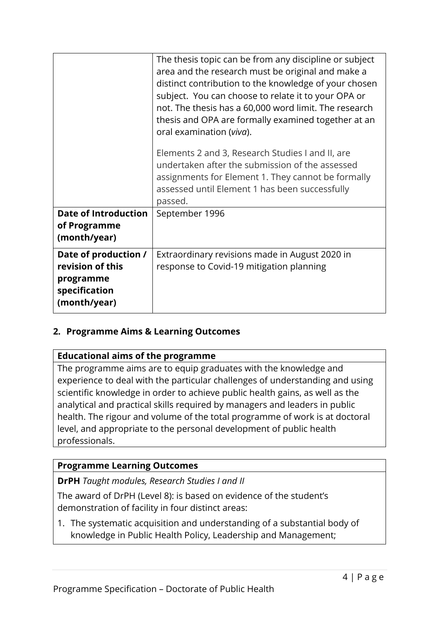|                                                                                        | The thesis topic can be from any discipline or subject<br>area and the research must be original and make a<br>distinct contribution to the knowledge of your chosen<br>subject. You can choose to relate it to your OPA or<br>not. The thesis has a 60,000 word limit. The research<br>thesis and OPA are formally examined together at an<br>oral examination (viva).<br>Elements 2 and 3, Research Studies I and II, are |  |  |  |
|----------------------------------------------------------------------------------------|-----------------------------------------------------------------------------------------------------------------------------------------------------------------------------------------------------------------------------------------------------------------------------------------------------------------------------------------------------------------------------------------------------------------------------|--|--|--|
|                                                                                        | undertaken after the submission of the assessed<br>assignments for Element 1. They cannot be formally<br>assessed until Element 1 has been successfully<br>passed.                                                                                                                                                                                                                                                          |  |  |  |
| <b>Date of Introduction</b><br>of Programme<br>(month/year)                            | September 1996                                                                                                                                                                                                                                                                                                                                                                                                              |  |  |  |
| Date of production /<br>revision of this<br>programme<br>specification<br>(month/year) | Extraordinary revisions made in August 2020 in<br>response to Covid-19 mitigation planning                                                                                                                                                                                                                                                                                                                                  |  |  |  |

### **2. Programme Aims & Learning Outcomes**

### **Educational aims of the programme**

The programme aims are to equip graduates with the knowledge and experience to deal with the particular challenges of understanding and using scientific knowledge in order to achieve public health gains, as well as the analytical and practical skills required by managers and leaders in public health. The rigour and volume of the total programme of work is at doctoral level, and appropriate to the personal development of public health professionals.

### **Programme Learning Outcomes**

**DrPH** *Taught modules, Research Studies I and II*

The award of DrPH (Level 8): is based on evidence of the student's demonstration of facility in four distinct areas:

1. The systematic acquisition and understanding of a substantial body of knowledge in Public Health Policy, Leadership and Management;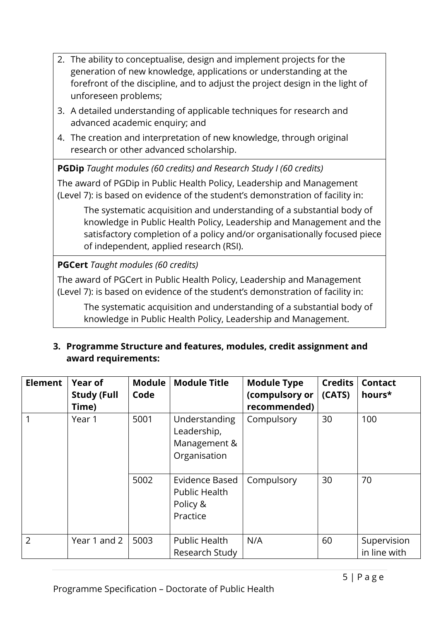- 2. The ability to conceptualise, design and implement projects for the generation of new knowledge, applications or understanding at the forefront of the discipline, and to adjust the project design in the light of unforeseen problems;
- 3. A detailed understanding of applicable techniques for research and advanced academic enquiry; and
- 4. The creation and interpretation of new knowledge, through original research or other advanced scholarship.

**PGDip** *Taught modules (60 credits) and Research Study I (60 credits)*

The award of PGDip in Public Health Policy, Leadership and Management (Level 7): is based on evidence of the student's demonstration of facility in:

The systematic acquisition and understanding of a substantial body of knowledge in Public Health Policy, Leadership and Management and the satisfactory completion of a policy and/or organisationally focused piece of independent, applied research (RSI).

# **PGCert** *Taught modules (60 credits)*

The award of PGCert in Public Health Policy, Leadership and Management (Level 7): is based on evidence of the student's demonstration of facility in:

The systematic acquisition and understanding of a substantial body of knowledge in Public Health Policy, Leadership and Management.

### **3. Programme Structure and features, modules, credit assignment and award requirements:**

| <b>Element</b> | <b>Year of</b><br><b>Study (Full</b><br>Time) | <b>Module</b><br>Code | <b>Module Title</b>                                            | <b>Module Type</b><br>(compulsory or<br>recommended) | <b>Credits</b><br>(CATS) | <b>Contact</b><br>hours*    |
|----------------|-----------------------------------------------|-----------------------|----------------------------------------------------------------|------------------------------------------------------|--------------------------|-----------------------------|
|                | Year 1                                        | 5001                  | Understanding<br>Leadership,<br>Management &<br>Organisation   | Compulsory                                           | 30                       | 100                         |
|                |                                               | 5002                  | Evidence Based<br><b>Public Health</b><br>Policy &<br>Practice | Compulsory                                           | 30                       | 70                          |
| 2              | Year 1 and 2                                  | 5003                  | Public Health<br>Research Study                                | N/A                                                  | 60                       | Supervision<br>in line with |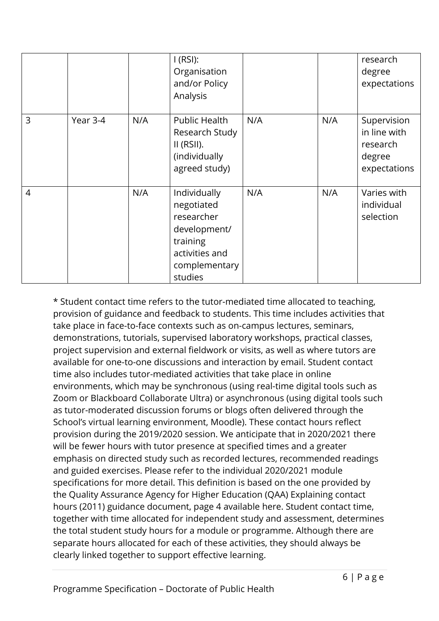|                |          |     | I(RSI):<br>Organisation<br>and/or Policy<br>Analysis                                                               |     |     | research<br>degree<br>expectations                                |
|----------------|----------|-----|--------------------------------------------------------------------------------------------------------------------|-----|-----|-------------------------------------------------------------------|
| 3              | Year 3-4 | N/A | <b>Public Health</b><br>Research Study<br>$II$ (RSII).<br>(individually<br>agreed study)                           | N/A | N/A | Supervision<br>in line with<br>research<br>degree<br>expectations |
| $\overline{4}$ |          | N/A | Individually<br>negotiated<br>researcher<br>development/<br>training<br>activities and<br>complementary<br>studies | N/A | N/A | Varies with<br>individual<br>selection                            |

\* Student contact time refers to the tutor-mediated time allocated to teaching, provision of guidance and feedback to students. This time includes activities that take place in face-to-face contexts such as on-campus lectures, seminars, demonstrations, tutorials, supervised laboratory workshops, practical classes, project supervision and external fieldwork or visits, as well as where tutors are available for one-to-one discussions and interaction by email. Student contact time also includes tutor-mediated activities that take place in online environments, which may be synchronous (using real-time digital tools such as Zoom or Blackboard Collaborate Ultra) or asynchronous (using digital tools such as tutor-moderated discussion forums or blogs often delivered through the School's virtual learning environment, Moodle). These contact hours reflect provision during the 2019/2020 session. We anticipate that in 2020/2021 there will be fewer hours with tutor presence at specified times and a greater emphasis on directed study such as recorded lectures, recommended readings and guided exercises. Please refer to the individual 2020/2021 module specifications for more detail. This definition is based on the one provided by the Quality Assurance Agency for Higher Education (QAA) Explaining contact hours (2011) guidance document, page 4 available here. Student contact time, together with time allocated for independent study and assessment, determines the total student study hours for a module or programme. Although there are separate hours allocated for each of these activities, they should always be clearly linked together to support effective learning.